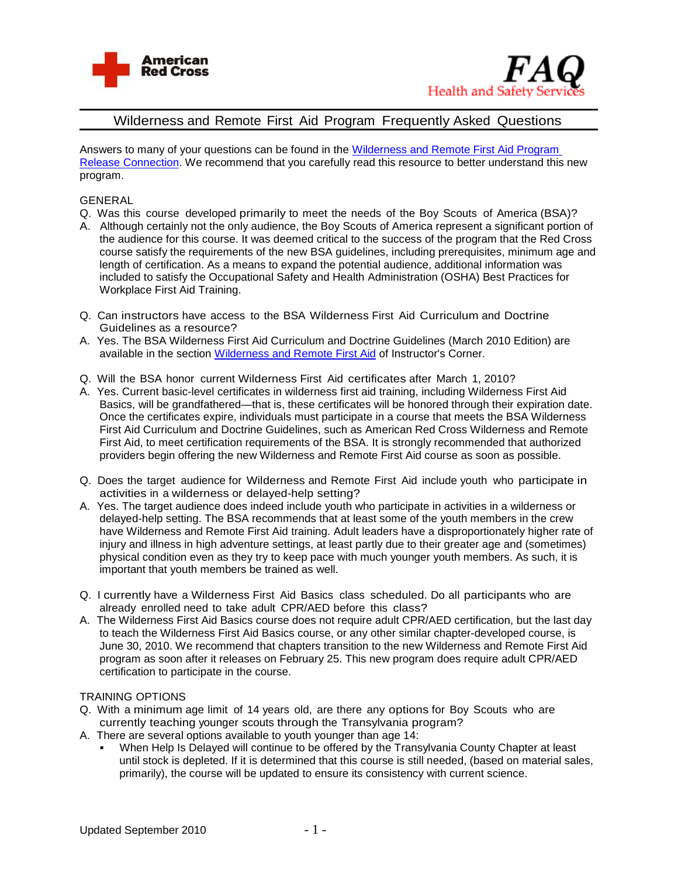



# Wilderness and Remote First Aid Program Frequently Asked Questions

Answers to many of your questions can be found in the [Wilderness and Remote](http://www.instructorscorner.org/files/98) First Aid Program [Release Connection.](http://www.instructorscorner.org/files/98) We recommend that you carefully read this resource to better understand this new program.

## GENERAL

- Q. Was this course developed primarily to meet the needs of the Boy Scouts of America (BSA)?
- A. Although certainly not the only audience, the Boy Scouts of America represent a significant portion of the audience for this course. It was deemed critical to the success of the program that the Red Cross course satisfy the requirements of the new BSA guidelines, including prerequisites, minimum age and length of certification. As a means to expand the potential audience, additional information was included to satisfy the Occupational Safety and Health Administration (OSHA) Best Practices for Workplace First Aid Training.
- Q. Can instructors have access to the BSA Wilderness First Aid Curriculum and Doctrine Guidelines as a resource?
- A. Yes. The BSA Wilderness First Aid Curriculum and Doctrine Guidelines (March 2010 Edition) are available in the section [Wilderness and Remote First](http://www.instructorscorner.org/n/first-aidcpraed/wilderness-and-remote-first-aid/) Aid of Instructor's Corner.
- Q. Will the BSA honor current Wilderness First Aid certificates after March 1, 2010?
- A. Yes. Current basic-level certificates in wilderness first aid training, including Wilderness First Aid Basics, will be grandfathered—that is, these certificates will be honored through their expiration date. Once the certificates expire, individuals must participate in a course that meets the BSA Wilderness First Aid Curriculum and Doctrine Guidelines, such as American Red Cross Wilderness and Remote First Aid, to meet certification requirements of the BSA. It is strongly recommended that authorized providers begin offering the new Wilderness and Remote First Aid course as soon as possible.
- Q. Does the target audience for Wilderness and Remote First Aid include youth who participate in activities in a wilderness or delayed-help setting?
- A. Yes. The target audience does indeed include youth who participate in activities in a wilderness or delayed-help setting. The BSA recommends that at least some of the youth members in the crew have Wilderness and Remote First Aid training. Adult leaders have a disproportionately higher rate of injury and illness in high adventure settings, at least partly due to their greater age and (sometimes) physical condition even as they try to keep pace with much younger youth members. As such, it is important that youth members be trained as well.
- Q. I currently have a Wilderness First Aid Basics class scheduled. Do all participants who are already enrolled need to take adult CPR/AED before this class?
- A. The Wilderness First Aid Basics course does not require adult CPR/AED certification, but the last day to teach the Wilderness First Aid Basics course, or any other similar chapter-developed course, is June 30, 2010. We recommend that chapters transition to the new Wilderness and Remote First Aid program as soon after it releases on February 25. This new program does require adult CPR/AED certification to participate in the course.

### TRAINING OPTIONS

- Q. With a minimum age limit of 14 years old, are there any options for Boy Scouts who are currently teaching younger scouts through the Transylvania program?
- A. There are several options available to youth younger than age 14:
	- When Help Is Delayed will continue to be offered by the Transylvania County Chapter at least until stock is depleted. If it is determined that this course is still needed, (based on material sales, primarily), the course will be updated to ensure its consistency with current science.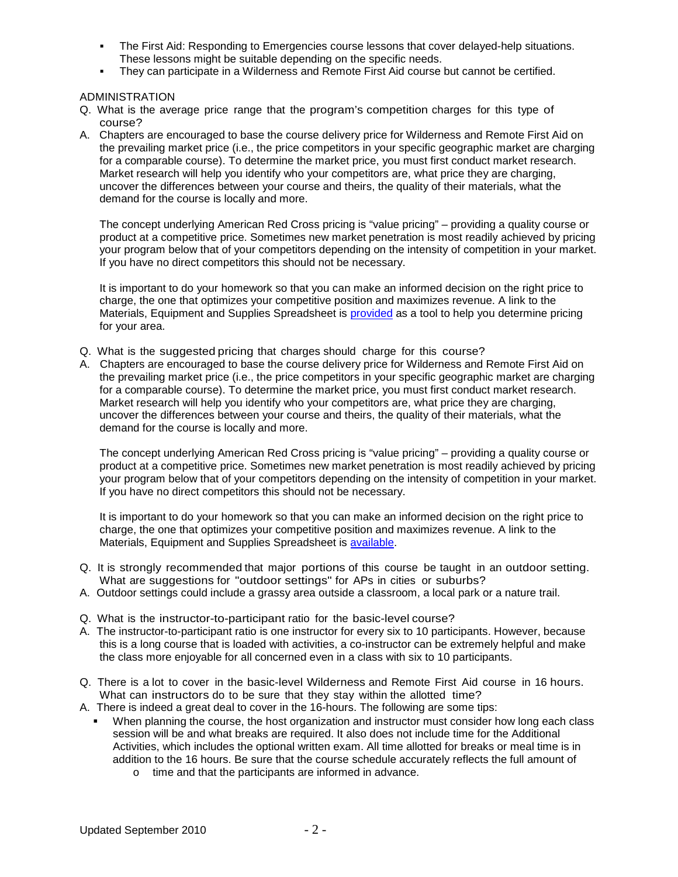- The First Aid: Responding to Emergencies course lessons that cover delayed-help situations. These lessons might be suitable depending on the specific needs.
- They can participate in a Wilderness and Remote First Aid course but cannot be certified.

ADMINISTRATION

- Q. What is the average price range that the program's competition charges for this type of course?
- A. Chapters are encouraged to base the course delivery price for Wilderness and Remote First Aid on the prevailing market price (i.e., the price competitors in your specific geographic market are charging for a comparable course). To determine the market price, you must first conduct market research. Market research will help you identify who your competitors are, what price they are charging, uncover the differences between your course and theirs, the quality of their materials, what the demand for the course is locally and more.

The concept underlying American Red Cross pricing is "value pricing" – providing a quality course or product at a competitive price. Sometimes new market penetration is most readily achieved by pricing your program below that of your competitors depending on the intensity of competition in your market. If you have no direct competitors this should not be necessary.

It is important to do your homework so that you can make an informed decision on the right price to charge, the one that optimizes your competitive position and maximizes revenue. A link to the Materials, Equipment and Supplies Spreadsheet is [provided](https://crossnet.redcross.org/chapters/services/health_safety/programs/WildernessRemoteFA/MaterialsOrdering.asp) as a tool to help you determine pricing for your area.

- Q. What is the suggested pricing that charges should charge for this course?
- A. Chapters are encouraged to base the course delivery price for Wilderness and Remote First Aid on the prevailing market price (i.e., the price competitors in your specific geographic market are charging for a comparable course). To determine the market price, you must first conduct market research. Market research will help you identify who your competitors are, what price they are charging, uncover the differences between your course and theirs, the quality of their materials, what the demand for the course is locally and more.

The concept underlying American Red Cross pricing is "value pricing" – providing a quality course or product at a competitive price. Sometimes new market penetration is most readily achieved by pricing your program below that of your competitors depending on the intensity of competition in your market. If you have no direct competitors this should not be necessary.

It is important to do your homework so that you can make an informed decision on the right price to charge, the one that optimizes your competitive position and maximizes revenue. A link to the Materials, Equipment and Supplies Spreadsheet is [available.](https://crossnet.redcross.org/chapters/services/health_safety/programs/WildernessRemoteFA/MaterialsOrdering.asp)

- Q. It is strongly recommended that major portions of this course be taught in an outdoor setting. What are suggestions for "outdoor settings" for APs in cities or suburbs?
- A. Outdoor settings could include a grassy area outside a classroom, a local park or a nature trail.
- Q. What is the instructor-to-participant ratio for the basic-level course?
- A. The instructor-to-participant ratio is one instructor for every six to 10 participants. However, because this is a long course that is loaded with activities, a co-instructor can be extremely helpful and make the class more enjoyable for all concerned even in a class with six to 10 participants.
- Q. There is a lot to cover in the basic-level Wilderness and Remote First Aid course in 16 hours. What can instructors do to be sure that they stay within the allotted time?
- A. There is indeed a great deal to cover in the 16-hours. The following are some tips:
	- When planning the course, the host organization and instructor must consider how long each class session will be and what breaks are required. It also does not include time for the Additional Activities, which includes the optional written exam. All time allotted for breaks or meal time is in addition to the 16 hours. Be sure that the course schedule accurately reflects the full amount of
		- o time and that the participants are informed in advance.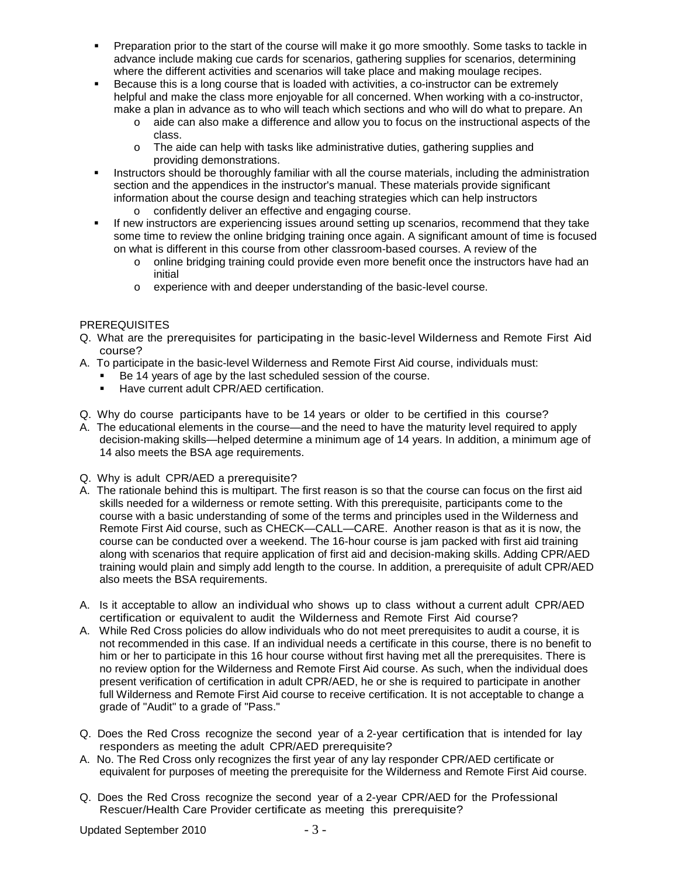- Preparation prior to the start of the course will make it go more smoothly. Some tasks to tackle in advance include making cue cards for scenarios, gathering supplies for scenarios, determining where the different activities and scenarios will take place and making moulage recipes.
- Because this is a long course that is loaded with activities, a co-instructor can be extremely helpful and make the class more enjoyable for all concerned. When working with a co-instructor, make a plan in advance as to who will teach which sections and who will do what to prepare. An
	- o aide can also make a difference and allow you to focus on the instructional aspects of the class.
	- o The aide can help with tasks like administrative duties, gathering supplies and providing demonstrations.
- Instructors should be thoroughly familiar with all the course materials, including the administration section and the appendices in the instructor's manual. These materials provide significant information about the course design and teaching strategies which can help instructors
	- o confidently deliver an effective and engaging course.
- If new instructors are experiencing issues around setting up scenarios, recommend that they take some time to review the online bridging training once again. A significant amount of time is focused on what is different in this course from other classroom-based courses. A review of the
	- o online bridging training could provide even more benefit once the instructors have had an initial
	- o experience with and deeper understanding of the basic-level course.

## **PREREQUISITES**

- Q. What are the prerequisites for participating in the basic-level Wilderness and Remote First Aid course?
- A. To participate in the basic-level Wilderness and Remote First Aid course, individuals must:
	- Be 14 years of age by the last scheduled session of the course.
	- **Have current adult CPR/AED certification.**
- Q. Why do course participants have to be 14 years or older to be certified in this course?
- A. The educational elements in the course—and the need to have the maturity level required to apply decision-making skills—helped determine a minimum age of 14 years. In addition, a minimum age of 14 also meets the BSA age requirements.
- Q. Why is adult CPR/AED a prerequisite?
- A. The rationale behind this is multipart. The first reason is so that the course can focus on the first aid skills needed for a wilderness or remote setting. With this prerequisite, participants come to the course with a basic understanding of some of the terms and principles used in the Wilderness and Remote First Aid course, such as CHECK—CALL—CARE. Another reason is that as it is now, the course can be conducted over a weekend. The 16-hour course is jam packed with first aid training along with scenarios that require application of first aid and decision-making skills. Adding CPR/AED training would plain and simply add length to the course. In addition, a prerequisite of adult CPR/AED also meets the BSA requirements.
- A. Is it acceptable to allow an individual who shows up to class without a current adult CPR/AED certification or equivalent to audit the Wilderness and Remote First Aid course?
- A. While Red Cross policies do allow individuals who do not meet prerequisites to audit a course, it is not recommended in this case. If an individual needs a certificate in this course, there is no benefit to him or her to participate in this 16 hour course without first having met all the prerequisites. There is no review option for the Wilderness and Remote First Aid course. As such, when the individual does present verification of certification in adult CPR/AED, he or she is required to participate in another full Wilderness and Remote First Aid course to receive certification. It is not acceptable to change a grade of "Audit" to a grade of "Pass."
- Q. Does the Red Cross recognize the second year of a 2-year certification that is intended for lay responders as meeting the adult CPR/AED prerequisite?
- A. No. The Red Cross only recognizes the first year of any lay responder CPR/AED certificate or equivalent for purposes of meeting the prerequisite for the Wilderness and Remote First Aid course.
- Q. Does the Red Cross recognize the second year of a 2-year CPR/AED for the Professional Rescuer/Health Care Provider certificate as meeting this prerequisite?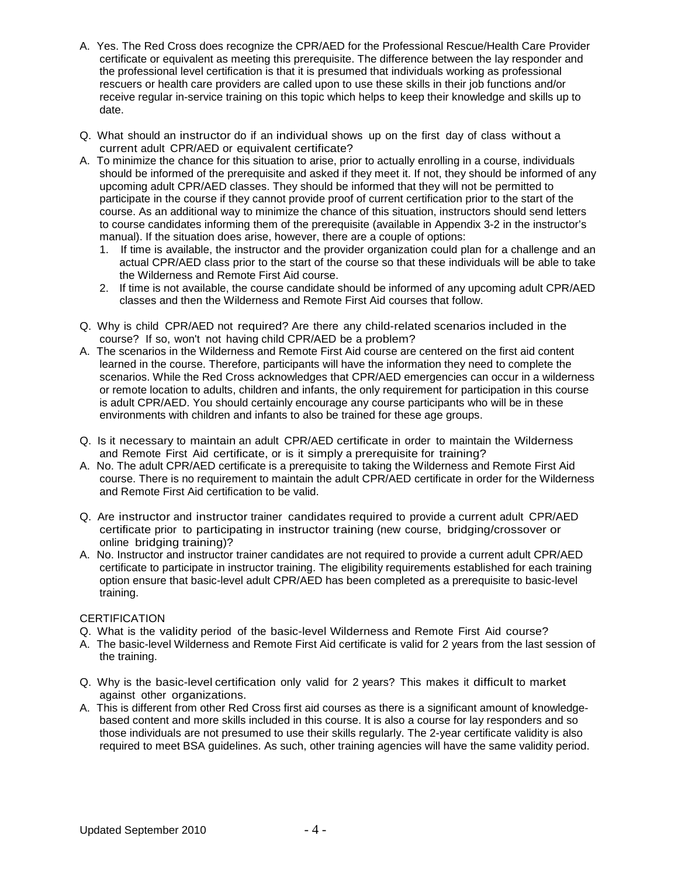- A. Yes. The Red Cross does recognize the CPR/AED for the Professional Rescue/Health Care Provider certificate or equivalent as meeting this prerequisite. The difference between the lay responder and the professional level certification is that it is presumed that individuals working as professional rescuers or health care providers are called upon to use these skills in their job functions and/or receive regular in-service training on this topic which helps to keep their knowledge and skills up to date.
- Q. What should an instructor do if an individual shows up on the first day of class without a current adult CPR/AED or equivalent certificate?
- A. To minimize the chance for this situation to arise, prior to actually enrolling in a course, individuals should be informed of the prerequisite and asked if they meet it. If not, they should be informed of any upcoming adult CPR/AED classes. They should be informed that they will not be permitted to participate in the course if they cannot provide proof of current certification prior to the start of the course. As an additional way to minimize the chance of this situation, instructors should send letters to course candidates informing them of the prerequisite (available in Appendix 3-2 in the instructor's manual). If the situation does arise, however, there are a couple of options:
	- 1. If time is available, the instructor and the provider organization could plan for a challenge and an actual CPR/AED class prior to the start of the course so that these individuals will be able to take the Wilderness and Remote First Aid course.
	- 2. If time is not available, the course candidate should be informed of any upcoming adult CPR/AED classes and then the Wilderness and Remote First Aid courses that follow.
- Q. Why is child CPR/AED not required? Are there any child-related scenarios included in the course? If so, won't not having child CPR/AED be a problem?
- A. The scenarios in the Wilderness and Remote First Aid course are centered on the first aid content learned in the course. Therefore, participants will have the information they need to complete the scenarios. While the Red Cross acknowledges that CPR/AED emergencies can occur in a wilderness or remote location to adults, children and infants, the only requirement for participation in this course is adult CPR/AED. You should certainly encourage any course participants who will be in these environments with children and infants to also be trained for these age groups.
- Q. Is it necessary to maintain an adult CPR/AED certificate in order to maintain the Wilderness and Remote First Aid certificate, or is it simply a prerequisite for training?
- A. No. The adult CPR/AED certificate is a prerequisite to taking the Wilderness and Remote First Aid course. There is no requirement to maintain the adult CPR/AED certificate in order for the Wilderness and Remote First Aid certification to be valid.
- Q. Are instructor and instructor trainer candidates required to provide a current adult CPR/AED certificate prior to participating in instructor training (new course, bridging/crossover or online bridging training)?
- A. No. Instructor and instructor trainer candidates are not required to provide a current adult CPR/AED certificate to participate in instructor training. The eligibility requirements established for each training option ensure that basic-level adult CPR/AED has been completed as a prerequisite to basic-level training.

### **CERTIFICATION**

- Q. What is the validity period of the basic-level Wilderness and Remote First Aid course?
- A. The basic-level Wilderness and Remote First Aid certificate is valid for 2 years from the last session of the training.
- Q. Why is the basic-level certification only valid for 2 years? This makes it difficult to market against other organizations.
- A. This is different from other Red Cross first aid courses as there is a significant amount of knowledgebased content and more skills included in this course. It is also a course for lay responders and so those individuals are not presumed to use their skills regularly. The 2-year certificate validity is also required to meet BSA guidelines. As such, other training agencies will have the same validity period.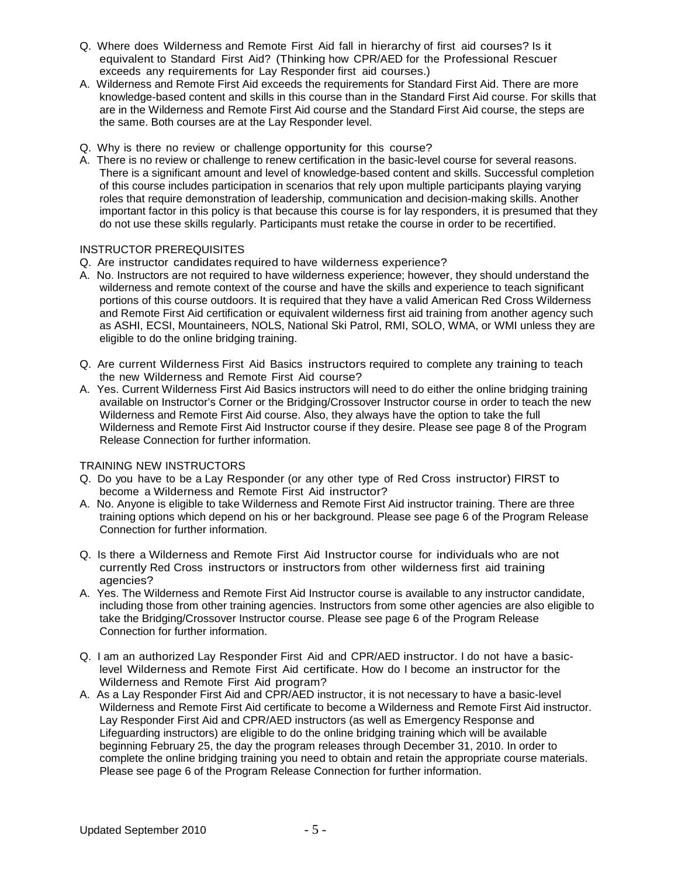- Q. Where does Wilderness and Remote First Aid fall in hierarchy of first aid courses? Is it equivalent to Standard First Aid? (Thinking how CPR/AED for the Professional Rescuer exceeds any requirements for Lay Responder first aid courses.)
- A. Wilderness and Remote First Aid exceeds the requirements for Standard First Aid. There are more knowledge-based content and skills in this course than in the Standard First Aid course. For skills that are in the Wilderness and Remote First Aid course and the Standard First Aid course, the steps are the same. Both courses are at the Lay Responder level.
- Q. Why is there no review or challenge opportunity for this course?
- A. There is no review or challenge to renew certification in the basic-level course for several reasons. There is a significant amount and level of knowledge-based content and skills. Successful completion of this course includes participation in scenarios that rely upon multiple participants playing varying roles that require demonstration of leadership, communication and decision-making skills. Another important factor in this policy is that because this course is for lay responders, it is presumed that they do not use these skills regularly. Participants must retake the course in order to be recertified.

### INSTRUCTOR PREREQUISITES

- Q. Are instructor candidates required to have wilderness experience?
- A. No. Instructors are not required to have wilderness experience; however, they should understand the wilderness and remote context of the course and have the skills and experience to teach significant portions of this course outdoors. It is required that they have a valid American Red Cross Wilderness and Remote First Aid certification or equivalent wilderness first aid training from another agency such as ASHI, ECSI, Mountaineers, NOLS, National Ski Patrol, RMI, SOLO, WMA, or WMI unless they are eligible to do the online bridging training.
- Q. Are current Wilderness First Aid Basics instructors required to complete any training to teach the new Wilderness and Remote First Aid course?
- A. Yes. Current Wilderness First Aid Basics instructors will need to do either the online bridging training available on Instructor's Corner or the Bridging/Crossover Instructor course in order to teach the new Wilderness and Remote First Aid course. Also, they always have the option to take the full Wilderness and Remote First Aid Instructor course if they desire. Please see page 8 of the Program Release Connection for further information.

### TRAINING NEW INSTRUCTORS

- Q. Do you have to be a Lay Responder (or any other type of Red Cross instructor) FIRST to become a Wilderness and Remote First Aid instructor?
- A. No. Anyone is eligible to take Wilderness and Remote First Aid instructor training. There are three training options which depend on his or her background. Please see page 6 of the Program Release Connection for further information.
- Q. Is there a Wilderness and Remote First Aid Instructor course for individuals who are not currently Red Cross instructors or instructors from other wilderness first aid training agencies?
- A. Yes. The Wilderness and Remote First Aid Instructor course is available to any instructor candidate, including those from other training agencies. Instructors from some other agencies are also eligible to take the Bridging/Crossover Instructor course. Please see page 6 of the Program Release Connection for further information.
- Q. I am an authorized Lay Responder First Aid and CPR/AED instructor. I do not have a basiclevel Wilderness and Remote First Aid certificate. How do I become an instructor for the Wilderness and Remote First Aid program?
- A. As a Lay Responder First Aid and CPR/AED instructor, it is not necessary to have a basic-level Wilderness and Remote First Aid certificate to become a Wilderness and Remote First Aid instructor. Lay Responder First Aid and CPR/AED instructors (as well as Emergency Response and Lifeguarding instructors) are eligible to do the online bridging training which will be available beginning February 25, the day the program releases through December 31, 2010. In order to complete the online bridging training you need to obtain and retain the appropriate course materials. Please see page 6 of the Program Release Connection for further information.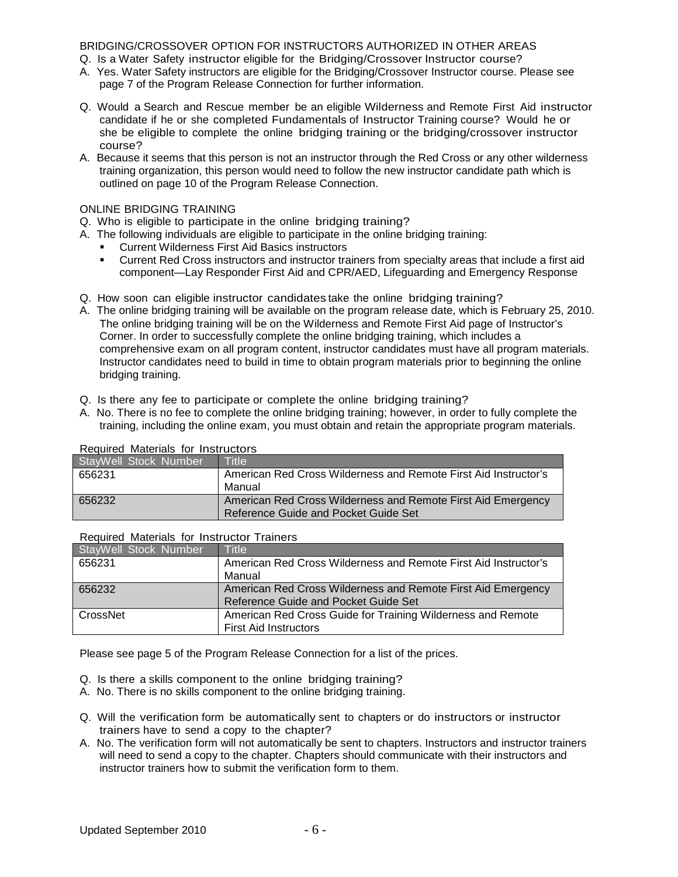### BRIDGING/CROSSOVER OPTION FOR INSTRUCTORS AUTHORIZED IN OTHER AREAS

- Q. Is a Water Safety instructor eligible for the Bridging/Crossover Instructor course?
- A. Yes. Water Safety instructors are eligible for the Bridging/Crossover Instructor course. Please see page 7 of the Program Release Connection for further information.
- Q. Would a Search and Rescue member be an eligible Wilderness and Remote First Aid instructor candidate if he or she completed Fundamentals of Instructor Training course? Would he or she be eligible to complete the online bridging training or the bridging/crossover instructor course?
- A. Because it seems that this person is not an instructor through the Red Cross or any other wilderness training organization, this person would need to follow the new instructor candidate path which is outlined on page 10 of the Program Release Connection.

### ONLINE BRIDGING TRAINING

- Q. Who is eligible to participate in the online bridging training?
- A. The following individuals are eligible to participate in the online bridging training:
	- Current Wilderness First Aid Basics instructors
	- Current Red Cross instructors and instructor trainers from specialty areas that include a first aid component—Lay Responder First Aid and CPR/AED, Lifeguarding and Emergency Response
- Q. How soon can eligible instructor candidates take the online bridging training?
- A. The online bridging training will be available on the program release date, which is February 25, 2010. The online bridging training will be on the Wilderness and Remote First Aid page of Instructor's Corner. In order to successfully complete the online bridging training, which includes a comprehensive exam on all program content, instructor candidates must have all program materials. Instructor candidates need to build in time to obtain program materials prior to beginning the online bridging training.
- Q. Is there any fee to participate or complete the online bridging training?
- A. No. There is no fee to complete the online bridging training; however, in order to fully complete the training, including the online exam, you must obtain and retain the appropriate program materials.

### Required Materials for Instructors

| StayWell Stock Number | Title                                                           |
|-----------------------|-----------------------------------------------------------------|
| 656231                | American Red Cross Wilderness and Remote First Aid Instructor's |
|                       | Manual                                                          |
| 656232                | American Red Cross Wilderness and Remote First Aid Emergency    |
|                       | Reference Guide and Pocket Guide Set                            |

### Required Materials for Instructor Trainers

| StayWell Stock Number | Title                                                           |
|-----------------------|-----------------------------------------------------------------|
| 656231                | American Red Cross Wilderness and Remote First Aid Instructor's |
|                       | Manual                                                          |
| 656232                | American Red Cross Wilderness and Remote First Aid Emergency    |
|                       | Reference Guide and Pocket Guide Set                            |
| CrossNet              | American Red Cross Guide for Training Wilderness and Remote     |
|                       | <b>First Aid Instructors</b>                                    |

Please see page 5 of the Program Release Connection for a list of the prices.

- Q. Is there a skills component to the online bridging training?
- A. No. There is no skills component to the online bridging training.
- Q. Will the verification form be automatically sent to chapters or do instructors or instructor trainers have to send a copy to the chapter?
- A. No. The verification form will not automatically be sent to chapters. Instructors and instructor trainers will need to send a copy to the chapter. Chapters should communicate with their instructors and instructor trainers how to submit the verification form to them.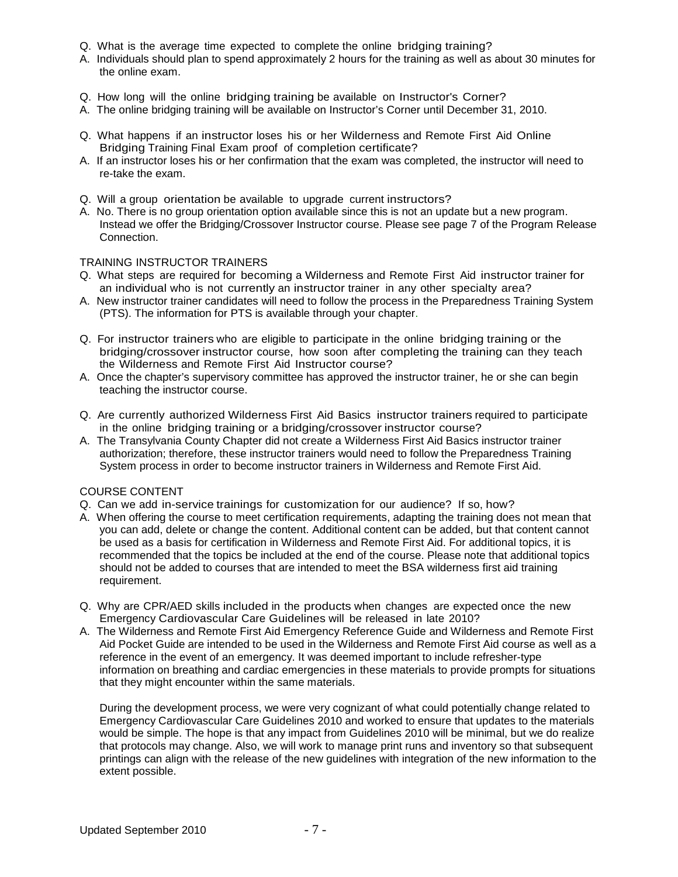- Q. What is the average time expected to complete the online bridging training?
- A. Individuals should plan to spend approximately 2 hours for the training as well as about 30 minutes for the online exam.
- Q. How long will the online bridging training be available on Instructor's Corner?
- A. The online bridging training will be available on Instructor's Corner until December 31, 2010.
- Q. What happens if an instructor loses his or her Wilderness and Remote First Aid Online Bridging Training Final Exam proof of completion certificate?
- A. If an instructor loses his or her confirmation that the exam was completed, the instructor will need to re-take the exam.
- Q. Will a group orientation be available to upgrade current instructors?
- A. No. There is no group orientation option available since this is not an update but a new program. Instead we offer the Bridging/Crossover Instructor course. Please see page 7 of the Program Release Connection.

#### TRAINING INSTRUCTOR TRAINERS

- Q. What steps are required for becoming a Wilderness and Remote First Aid instructor trainer for an individual who is not currently an instructor trainer in any other specialty area?
- A. New instructor trainer candidates will need to follow the process in the Preparedness Training System (PTS). The information for PTS is available through your chapter.
- Q. For instructor trainers who are eligible to participate in the online bridging training or the bridging/crossover instructor course, how soon after completing the training can they teach the Wilderness and Remote First Aid Instructor course?
- A. Once the chapter's supervisory committee has approved the instructor trainer, he or she can begin teaching the instructor course.
- Q. Are currently authorized Wilderness First Aid Basics instructor trainers required to participate in the online bridging training or a bridging/crossover instructor course?
- A. The Transylvania County Chapter did not create a Wilderness First Aid Basics instructor trainer authorization; therefore, these instructor trainers would need to follow the Preparedness Training System process in order to become instructor trainers in Wilderness and Remote First Aid.

#### COURSE CONTENT

- Q. Can we add in-service trainings for customization for our audience? If so, how?
- A. When offering the course to meet certification requirements, adapting the training does not mean that you can add, delete or change the content. Additional content can be added, but that content cannot be used as a basis for certification in Wilderness and Remote First Aid. For additional topics, it is recommended that the topics be included at the end of the course. Please note that additional topics should not be added to courses that are intended to meet the BSA wilderness first aid training requirement.
- Q. Why are CPR/AED skills included in the products when changes are expected once the new Emergency Cardiovascular Care Guidelines will be released in late 2010?
- A. The Wilderness and Remote First Aid Emergency Reference Guide and Wilderness and Remote First Aid Pocket Guide are intended to be used in the Wilderness and Remote First Aid course as well as a reference in the event of an emergency. It was deemed important to include refresher-type information on breathing and cardiac emergencies in these materials to provide prompts for situations that they might encounter within the same materials.

During the development process, we were very cognizant of what could potentially change related to Emergency Cardiovascular Care Guidelines 2010 and worked to ensure that updates to the materials would be simple. The hope is that any impact from Guidelines 2010 will be minimal, but we do realize that protocols may change. Also, we will work to manage print runs and inventory so that subsequent printings can align with the release of the new guidelines with integration of the new information to the extent possible.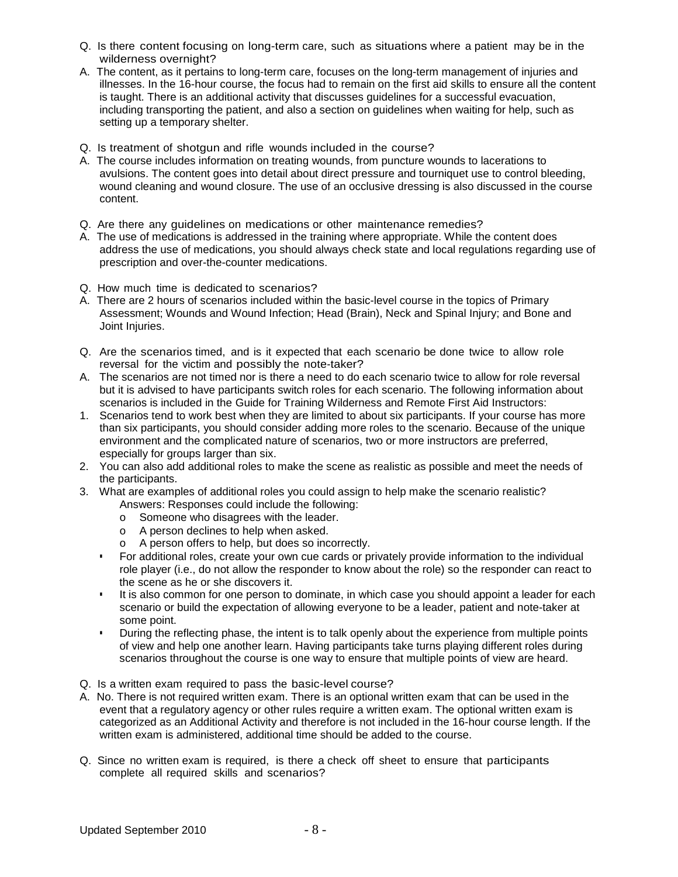- Q. Is there content focusing on long-term care, such as situations where a patient may be in the wilderness overnight?
- A. The content, as it pertains to long-term care, focuses on the long-term management of injuries and illnesses. In the 16-hour course, the focus had to remain on the first aid skills to ensure all the content is taught. There is an additional activity that discusses guidelines for a successful evacuation, including transporting the patient, and also a section on guidelines when waiting for help, such as setting up a temporary shelter.
- Q. Is treatment of shotgun and rifle wounds included in the course?
- A. The course includes information on treating wounds, from puncture wounds to lacerations to avulsions. The content goes into detail about direct pressure and tourniquet use to control bleeding, wound cleaning and wound closure. The use of an occlusive dressing is also discussed in the course content.
- Q. Are there any guidelines on medications or other maintenance remedies?
- A. The use of medications is addressed in the training where appropriate. While the content does address the use of medications, you should always check state and local regulations regarding use of prescription and over-the-counter medications.
- Q. How much time is dedicated to scenarios?
- A. There are 2 hours of scenarios included within the basic-level course in the topics of Primary Assessment; Wounds and Wound Infection; Head (Brain), Neck and Spinal Injury; and Bone and Joint Injuries.
- Q. Are the scenarios timed, and is it expected that each scenario be done twice to allow role reversal for the victim and possibly the note-taker?
- A. The scenarios are not timed nor is there a need to do each scenario twice to allow for role reversal but it is advised to have participants switch roles for each scenario. The following information about scenarios is included in the Guide for Training Wilderness and Remote First Aid Instructors:
- 1. Scenarios tend to work best when they are limited to about six participants. If your course has more than six participants, you should consider adding more roles to the scenario. Because of the unique environment and the complicated nature of scenarios, two or more instructors are preferred, especially for groups larger than six.
- 2. You can also add additional roles to make the scene as realistic as possible and meet the needs of the participants.
- 3. What are examples of additional roles you could assign to help make the scenario realistic? Answers: Responses could include the following:
	- o Someone who disagrees with the leader.
	- o A person declines to help when asked.
	- o A person offers to help, but does so incorrectly.
	- For additional roles, create your own cue cards or privately provide information to the individual role player (i.e., do not allow the responder to know about the role) so the responder can react to the scene as he or she discovers it.
	- It is also common for one person to dominate, in which case you should appoint a leader for each scenario or build the expectation of allowing everyone to be a leader, patient and note-taker at some point.
	- **During the reflecting phase, the intent is to talk openly about the experience from multiple points** of view and help one another learn. Having participants take turns playing different roles during scenarios throughout the course is one way to ensure that multiple points of view are heard.
- Q. Is a written exam required to pass the basic-level course?
- A. No. There is not required written exam. There is an optional written exam that can be used in the event that a regulatory agency or other rules require a written exam. The optional written exam is categorized as an Additional Activity and therefore is not included in the 16-hour course length. If the written exam is administered, additional time should be added to the course.
- Q. Since no written exam is required, is there a check off sheet to ensure that participants complete all required skills and scenarios?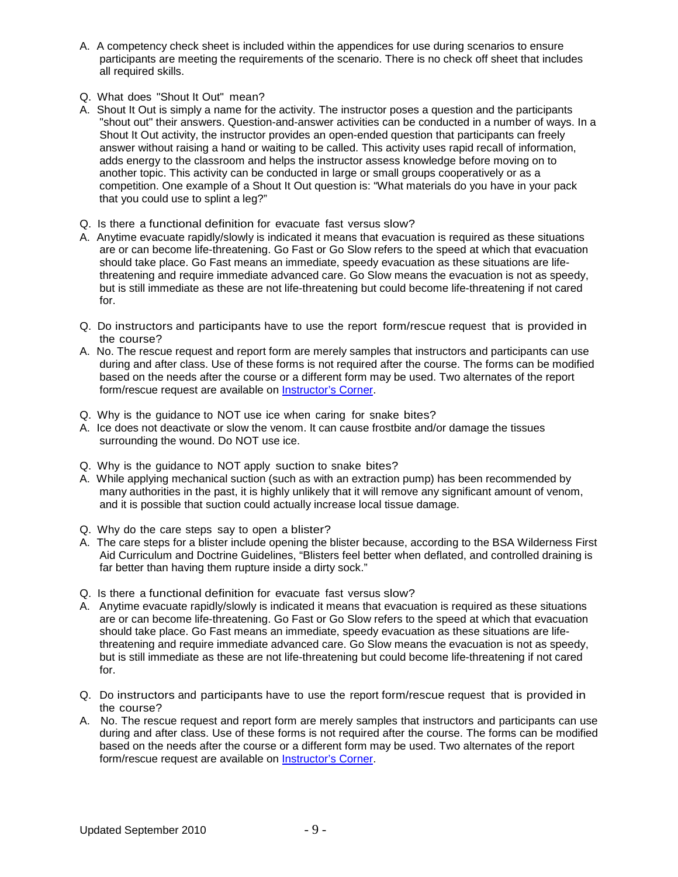- A. A competency check sheet is included within the appendices for use during scenarios to ensure participants are meeting the requirements of the scenario. There is no check off sheet that includes all required skills.
- Q. What does "Shout It Out" mean?
- A. Shout It Out is simply a name for the activity. The instructor poses a question and the participants "shout out" their answers. Question-and-answer activities can be conducted in a number of ways. In a Shout It Out activity, the instructor provides an open-ended question that participants can freely answer without raising a hand or waiting to be called. This activity uses rapid recall of information, adds energy to the classroom and helps the instructor assess knowledge before moving on to another topic. This activity can be conducted in large or small groups cooperatively or as a competition. One example of a Shout It Out question is: "What materials do you have in your pack that you could use to splint a leg?"
- Q. Is there a functional definition for evacuate fast versus slow?
- A. Anytime evacuate rapidly/slowly is indicated it means that evacuation is required as these situations are or can become life-threatening. Go Fast or Go Slow refers to the speed at which that evacuation should take place. Go Fast means an immediate, speedy evacuation as these situations are lifethreatening and require immediate advanced care. Go Slow means the evacuation is not as speedy, but is still immediate as these are not life-threatening but could become life-threatening if not cared for.
- Q. Do instructors and participants have to use the report form/rescue request that is provided in the course?
- A. No. The rescue request and report form are merely samples that instructors and participants can use during and after class. Use of these forms is not required after the course. The forms can be modified based on the needs after the course or a different form may be used. Two alternates of the report form/rescue request are available on **Instructor's Corner**.
- Q. Why is the guidance to NOT use ice when caring for snake bites?
- A. Ice does not deactivate or slow the venom. It can cause frostbite and/or damage the tissues surrounding the wound. Do NOT use ice.
- Q. Why is the guidance to NOT apply suction to snake bites?
- A. While applying mechanical suction (such as with an extraction pump) has been recommended by many authorities in the past, it is highly unlikely that it will remove any significant amount of venom, and it is possible that suction could actually increase local tissue damage.
- Q. Why do the care steps say to open a blister?
- A. The care steps for a blister include opening the blister because, according to the BSA Wilderness First Aid Curriculum and Doctrine Guidelines, "Blisters feel better when deflated, and controlled draining is far better than having them rupture inside a dirty sock."
- Q. Is there a functional definition for evacuate fast versus slow?
- A. Anytime evacuate rapidly/slowly is indicated it means that evacuation is required as these situations are or can become life-threatening. Go Fast or Go Slow refers to the speed at which that evacuation should take place. Go Fast means an immediate, speedy evacuation as these situations are lifethreatening and require immediate advanced care. Go Slow means the evacuation is not as speedy, but is still immediate as these are not life-threatening but could become life-threatening if not cared for.
- Q. Do instructors and participants have to use the report form/rescue request that is provided in the course?
- A. No. The rescue request and report form are merely samples that instructors and participants can use during and after class. Use of these forms is not required after the course. The forms can be modified based on the needs after the course or a different form may be used. Two alternates of the report form/rescue request are available on [Instructor's](https://www.instructorscorner.org/RInstructor%27s%20Corner) Corner.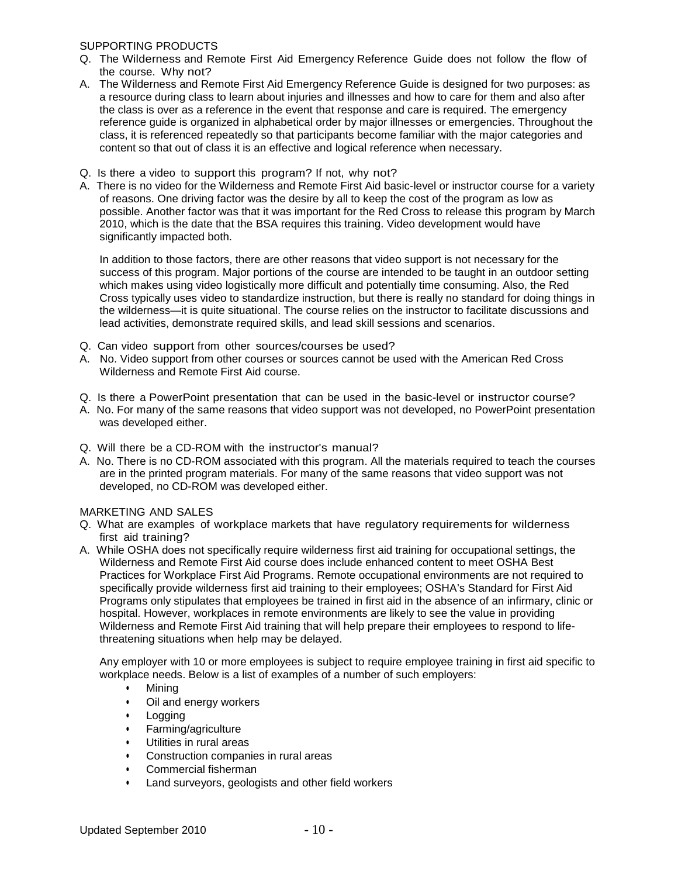### SUPPORTING PRODUCTS

- Q. The Wilderness and Remote First Aid Emergency Reference Guide does not follow the flow of the course. Why not?
- A. The Wilderness and Remote First Aid Emergency Reference Guide is designed for two purposes: as a resource during class to learn about injuries and illnesses and how to care for them and also after the class is over as a reference in the event that response and care is required. The emergency reference guide is organized in alphabetical order by major illnesses or emergencies. Throughout the class, it is referenced repeatedly so that participants become familiar with the major categories and content so that out of class it is an effective and logical reference when necessary.
- Q. Is there a video to support this program? If not, why not?
- A. There is no video for the Wilderness and Remote First Aid basic-level or instructor course for a variety of reasons. One driving factor was the desire by all to keep the cost of the program as low as possible. Another factor was that it was important for the Red Cross to release this program by March 2010, which is the date that the BSA requires this training. Video development would have significantly impacted both.

In addition to those factors, there are other reasons that video support is not necessary for the success of this program. Major portions of the course are intended to be taught in an outdoor setting which makes using video logistically more difficult and potentially time consuming. Also, the Red Cross typically uses video to standardize instruction, but there is really no standard for doing things in the wilderness—it is quite situational. The course relies on the instructor to facilitate discussions and lead activities, demonstrate required skills, and lead skill sessions and scenarios.

- Q. Can video support from other sources/courses be used?
- A. No. Video support from other courses or sources cannot be used with the American Red Cross Wilderness and Remote First Aid course.
- Q. Is there a PowerPoint presentation that can be used in the basic-level or instructor course?
- A. No. For many of the same reasons that video support was not developed, no PowerPoint presentation was developed either.
- Q. Will there be a CD-ROM with the instructor's manual?
- A. No. There is no CD-ROM associated with this program. All the materials required to teach the courses are in the printed program materials. For many of the same reasons that video support was not developed, no CD-ROM was developed either.

## MARKETING AND SALES

- Q. What are examples of workplace markets that have regulatory requirements for wilderness first aid training?
- A. While OSHA does not specifically require wilderness first aid training for occupational settings, the Wilderness and Remote First Aid course does include enhanced content to meet OSHA Best Practices for Workplace First Aid Programs. Remote occupational environments are not required to specifically provide wilderness first aid training to their employees; OSHA's Standard for First Aid Programs only stipulates that employees be trained in first aid in the absence of an infirmary, clinic or hospital. However, workplaces in remote environments are likely to see the value in providing Wilderness and Remote First Aid training that will help prepare their employees to respond to lifethreatening situations when help may be delayed.

Any employer with 10 or more employees is subject to require employee training in first aid specific to workplace needs. Below is a list of examples of a number of such employers:

- Mining
- Oil and energy workers
- Logging
- Farming/agriculture
- Utilities in rural areas
- Construction companies in rural areas
- Commercial fisherman
- Land surveyors, geologists and other field workers